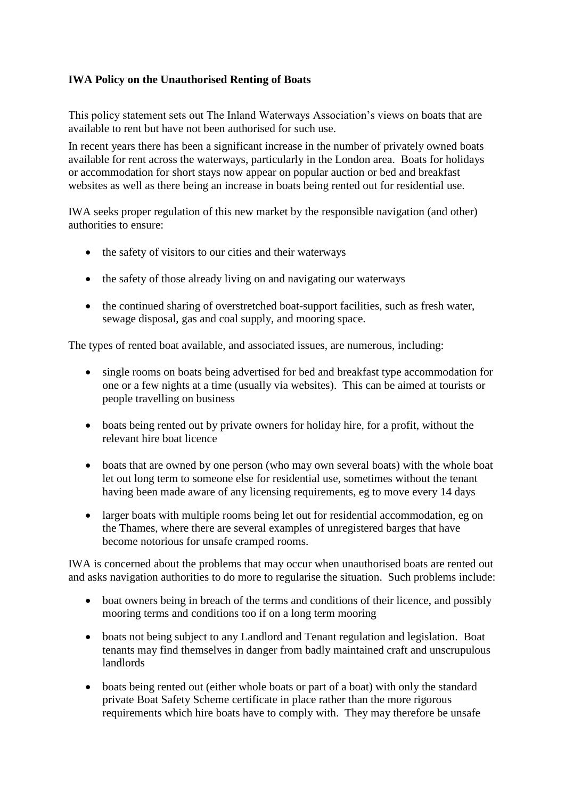## **IWA Policy on the Unauthorised Renting of Boats**

This policy statement sets out The Inland Waterways Association's views on boats that are available to rent but have not been authorised for such use.

In recent years there has been a significant increase in the number of privately owned boats available for rent across the waterways, particularly in the London area. Boats for holidays or accommodation for short stays now appear on popular auction or bed and breakfast websites as well as there being an increase in boats being rented out for residential use.

IWA seeks proper regulation of this new market by the responsible navigation (and other) authorities to ensure:

- the safety of visitors to our cities and their waterways
- the safety of those already living on and navigating our waterways
- the continued sharing of overstretched boat-support facilities, such as fresh water, sewage disposal, gas and coal supply, and mooring space.

The types of rented boat available, and associated issues, are numerous, including:

- single rooms on boats being advertised for bed and breakfast type accommodation for one or a few nights at a time (usually via websites). This can be aimed at tourists or people travelling on business
- boats being rented out by private owners for holiday hire, for a profit, without the relevant hire boat licence
- boats that are owned by one person (who may own several boats) with the whole boat let out long term to someone else for residential use, sometimes without the tenant having been made aware of any licensing requirements, eg to move every 14 days
- larger boats with multiple rooms being let out for residential accommodation, eg on the Thames, where there are several examples of unregistered barges that have become notorious for unsafe cramped rooms.

IWA is concerned about the problems that may occur when unauthorised boats are rented out and asks navigation authorities to do more to regularise the situation. Such problems include:

- boat owners being in breach of the terms and conditions of their licence, and possibly mooring terms and conditions too if on a long term mooring
- boats not being subject to any Landlord and Tenant regulation and legislation. Boat tenants may find themselves in danger from badly maintained craft and unscrupulous landlords
- boats being rented out (either whole boats or part of a boat) with only the standard private Boat Safety Scheme certificate in place rather than the more rigorous requirements which hire boats have to comply with. They may therefore be unsafe